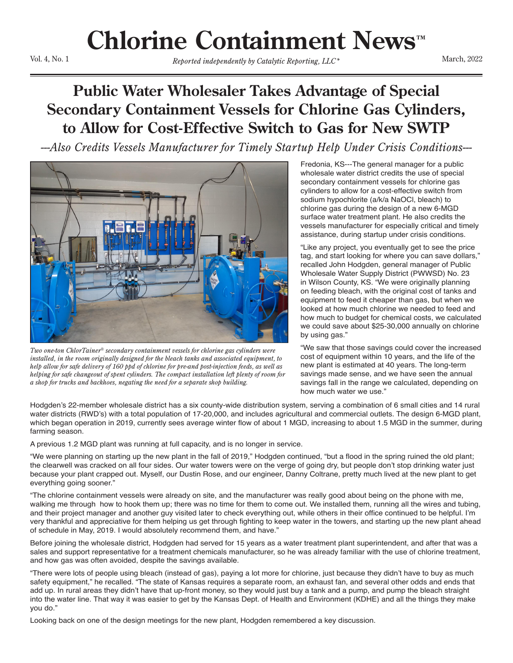## **Chlorine Containment News™**

Vol. 4, No. 1

Reported independently by Catalytic Reporting, *LLC*<sup>\*</sup> March, 2022

## **Public Water Wholesaler Takes Advantage of Special Secondary Containment Vessels for Chlorine Gas Cylinders, to Allow for Cost-Effective Switch to Gas for New SWTP**

*---Also Credits Vessels Manufacturer for Timely Startup Help Under Crisis Conditions---*



*Two one-ton ChlorTainer® secondary containment vessels for chlorine gas cylinders were installed, in the room originally designed for the bleach tanks and associated equipment, to help allow for safe delivery of 160 ppd of chlorine for pre-and post-injection feeds, as well as helping for safe changeout of spent cylinders. The compact installation left plenty of room for a shop for trucks and backhoes, negating the need for a separate shop building.*

Fredonia, KS---The general manager for a public wholesale water district credits the use of special secondary containment vessels for chlorine gas cylinders to allow for a cost-effective switch from sodium hypochlorite (a/k/a NaOCl, bleach) to chlorine gas during the design of a new 6-MGD surface water treatment plant. He also credits the vessels manufacturer for especially critical and timely assistance, during startup under crisis conditions.

"Like any project, you eventually get to see the price tag, and start looking for where you can save dollars," recalled John Hodgden, general manager of Public Wholesale Water Supply District (PWWSD) No. 23 in Wilson County, KS. "We were originally planning on feeding bleach, with the original cost of tanks and equipment to feed it cheaper than gas, but when we looked at how much chlorine we needed to feed and how much to budget for chemical costs, we calculated we could save about \$25-30,000 annually on chlorine by using gas."

"We saw that those savings could cover the increased cost of equipment within 10 years, and the life of the new plant is estimated at 40 years. The long-term savings made sense, and we have seen the annual savings fall in the range we calculated, depending on how much water we use."

Hodgden's 22-member wholesale district has a six county-wide distribution system, serving a combination of 6 small cities and 14 rural water districts (RWD's) with a total population of 17-20,000, and includes agricultural and commercial outlets. The design 6-MGD plant, which began operation in 2019, currently sees average winter flow of about 1 MGD, increasing to about 1.5 MGD in the summer, during farming season.

A previous 1.2 MGD plant was running at full capacity, and is no longer in service.

"We were planning on starting up the new plant in the fall of 2019," Hodgden continued, "but a flood in the spring ruined the old plant; the clearwell was cracked on all four sides. Our water towers were on the verge of going dry, but people don't stop drinking water just because your plant crapped out. Myself, our Dustin Rose, and our engineer, Danny Coltrane, pretty much lived at the new plant to get everything going sooner."

"The chlorine containment vessels were already on site, and the manufacturer was really good about being on the phone with me, walking me through how to hook them up; there was no time for them to come out. We installed them, running all the wires and tubing, and their project manager and another guy visited later to check everything out, while others in their office continued to be helpful. I'm very thankful and appreciative for them helping us get through fighting to keep water in the towers, and starting up the new plant ahead of schedule in May, 2019. I would absolutely recommend them, and have."

Before joining the wholesale district, Hodgden had served for 15 years as a water treatment plant superintendent, and after that was a sales and support representative for a treatment chemicals manufacturer, so he was already familiar with the use of chlorine treatment, and how gas was often avoided, despite the savings available.

"There were lots of people using bleach (instead of gas), paying a lot more for chlorine, just because they didn't have to buy as much safety equipment," he recalled. "The state of Kansas requires a separate room, an exhaust fan, and several other odds and ends that add up. In rural areas they didn't have that up-front money, so they would just buy a tank and a pump, and pump the bleach straight into the water line. That way it was easier to get by the Kansas Dept. of Health and Environment (KDHE) and all the things they make you do."

Looking back on one of the design meetings for the new plant, Hodgden remembered a key discussion.